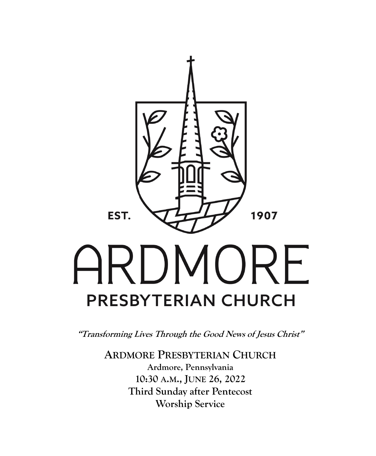

**"Transforming Lives Through the Good News of Jesus Christ"**

**ARDMORE PRESBYTERIAN CHURCH Ardmore, Pennsylvania 10:30 A.M., JUNE 26, 2022 Third Sunday after Pentecost Worship Service**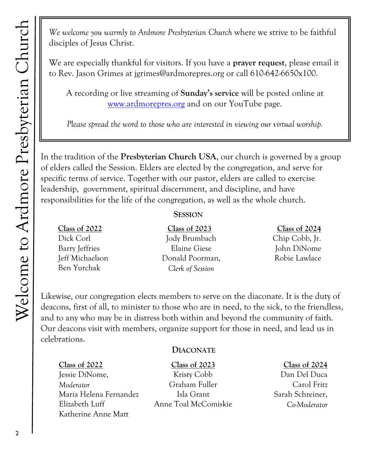*We welcome you warmly to Ardmore Presbyterian Church* where we strive to be faithful disciples of Jesus Christ.

We are especially thankful for visitors. If you have a **prayer request**, please email it to Rev. Jason Grimes at jgrimes@ardmorepres.org or call 610-642-6650x100.

A recording or live streaming of **Sunday's service** will be posted online at [www.ardmorepres.org](http://www.ardmorepres.org) and on our YouTube page.

*Please spread the word to those who are interested in viewing our virtual worship.*

In the tradition of the **Presbyterian Church USA**, our church is governed by a group of elders called the Session. Elders are elected by the congregation, and serve for specific terms of service. Together with our pastor, elders are called to exercise leadership, government, spiritual discernment, and discipline, and have responsibilities for the life of the congregation, as well as the whole church.

#### **SESSION**

**Class of 2022** Dick Corl Barry Jeffries Jeff Michaelson Ben Yurchak

**Class of 2023** Jody Brumbach Elaine Giese Donald Poorman, *Clerk of Session*

#### **Class of 2024**

Chip Cobb, Jr. John DiNome Robie Lawlace

Likewise, our congregation elects members to serve on the diaconate. It is the duty of deacons, first of all, to minister to those who are in need, to the sick, to the friendless, and to any who may be in distress both within and beyond the community of faith. Our deacons visit with members, organize support for those in need, and lead us in celebrations.

#### **DIACONATE**

#### **Class of 2022**

Jessie DiNome, *Moderator* Maria Helena Fernandez Elizabeth Luff Katherine Anne Matt

**Class of 2023**

Kristy Cobb Graham Fuller Isla Grant Anne Toal McComiskie

#### **Class of 2024**

Dan Del Duca Carol Fritz Sarah Schreiner, *Co-Moderator*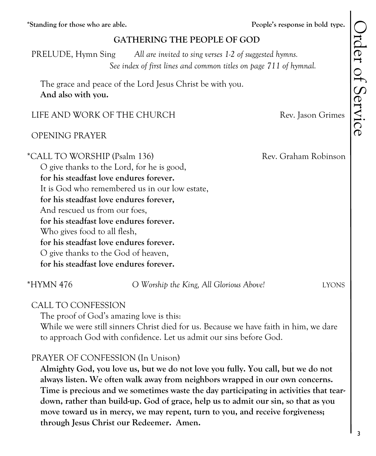**\*Standing for those who are able. People's response in bold type.**

#### **GATHERING THE PEOPLE OF GOD**

 PRELUDE, Hymn Sing *All are invited to sing verses 1-2 of suggested hymns. See index of first lines and common titles on page 711 of hymnal.*

The grace and peace of the Lord Jesus Christ be with you. **And also with you.**

#### LIFE AND WORK OF THE CHURCH Rev. Jason Grimes

#### OPENING PRAYER

\*CALL TO WORSHIP (Psalm 136) Rev. Graham Robinson O give thanks to the Lord, for he is good, **for his steadfast love endures forever.** It is God who remembered us in our low estate, **for his steadfast love endures forever,** And rescued us from our foes, **for his steadfast love endures forever.** Who gives food to all flesh, **for his steadfast love endures forever.** O give thanks to the God of heaven, **for his steadfast love endures forever.**

\*HYMN 476 *O Worship the King, All Glorious Above!* LYONS

#### CALL TO CONFESSION

The proof of God's amazing love is this:

While we were still sinners Christ died for us. Because we have faith in him, we dare to approach God with confidence. Let us admit our sins before God.

#### PRAYER OF CONFESSION (In Unison)

**Almighty God, you love us, but we do not love you fully. You call, but we do not always listen. We often walk away from neighbors wrapped in our own concerns. Time is precious and we sometimes waste the day participating in activities that teardown, rather than build-up. God of grace, help us to admit our sin, so that as you move toward us in mercy, we may repent, turn to you, and receive forgiveness; through Jesus Christ our Redeemer. Amen.**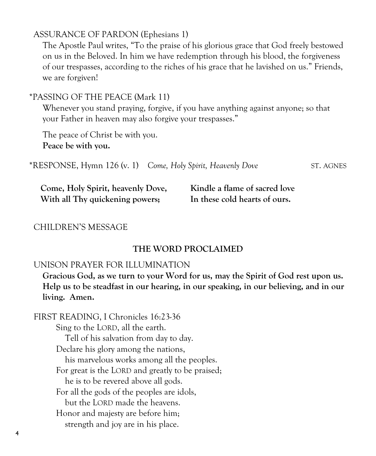#### ASSURANCE OF PARDON (Ephesians 1)

The Apostle Paul writes, "To the praise of his glorious grace that God freely bestowed on us in the Beloved. In him we have redemption through his blood, the forgiveness of our trespasses, according to the riches of his grace that he lavished on us." Friends, we are forgiven!

#### \*PASSING OF THE PEACE (Mark 11)

Whenever you stand praying, forgive, if you have anything against anyone; so that your Father in heaven may also forgive your trespasses."

The peace of Christ be with you. **Peace be with you.**

|  | *RESPONSE, Hymn 126 (v. 1) Come, Holy Spirit, Heavenly Dove | ST. AGNES |
|--|-------------------------------------------------------------|-----------|
|--|-------------------------------------------------------------|-----------|

| Come, Holy Spirit, heavenly Dove, | Kindle a flame of sacred love |
|-----------------------------------|-------------------------------|
| With all Thy quickening powers;   | In these cold hearts of ours. |

#### CHILDREN'S MESSAGE

#### **THE WORD PROCLAIMED**

#### UNISON PRAYER FOR ILLUMINATION

**Gracious God, as we turn to your Word for us, may the Spirit of God rest upon us. Help us to be steadfast in our hearing, in our speaking, in our believing, and in our living. Amen.**

 FIRST READING, I Chronicles 16:23-36 Sing to the LORD, all the earth. Tell of his salvation from day to day. Declare his glory among the nations, his marvelous works among all the peoples. For great is the LORD and greatly to be praised; he is to be revered above all gods. For all the gods of the peoples are idols, but the LORD made the heavens. Honor and majesty are before him; strength and joy are in his place.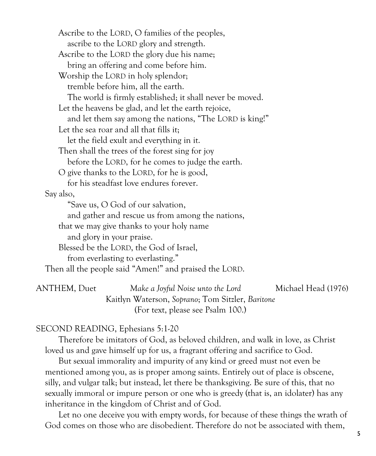Ascribe to the LORD, O families of the peoples, ascribe to the LORD glory and strength. Ascribe to the LORD the glory due his name; bring an offering and come before him. Worship the LORD in holy splendor; tremble before him, all the earth. The world is firmly established; it shall never be moved. Let the heavens be glad, and let the earth rejoice, and let them say among the nations, "The LORD is king!" Let the sea roar and all that fills it; let the field exult and everything in it. Then shall the trees of the forest sing for joy before the LORD, for he comes to judge the earth. O give thanks to the LORD, for he is good, for his steadfast love endures forever. Say also, "Save us, O God of our salvation, and gather and rescue us from among the nations, that we may give thanks to your holy name and glory in your praise. Blessed be the LORD, the God of Israel, from everlasting to everlasting." Then all the people said "Amen!" and praised the LORD. ANTHEM, Duet *Make a Joyful Noise unto the Lord* Michael Head (1976)

| ANTHEM. Duet | Make a Joyful Noise unto the Lord                | Michael Head (1976) |
|--------------|--------------------------------------------------|---------------------|
|              | Kaitlyn Waterson, Soprano; Tom Sitzler, Baritone |                     |
|              | (For text, please see Psalm 100.)                |                     |

#### SECOND READING, Ephesians 5:1-20

Therefore be imitators of God, as beloved children, and walk in love, as Christ loved us and gave himself up for us, a fragrant offering and sacrifice to God.

But sexual immorality and impurity of any kind or greed must not even be mentioned among you, as is proper among saints. Entirely out of place is obscene, silly, and vulgar talk; but instead, let there be thanksgiving. Be sure of this, that no sexually immoral or impure person or one who is greedy (that is, an idolater) has any inheritance in the kingdom of Christ and of God.

Let no one deceive you with empty words, for because of these things the wrath of God comes on those who are disobedient. Therefore do not be associated with them,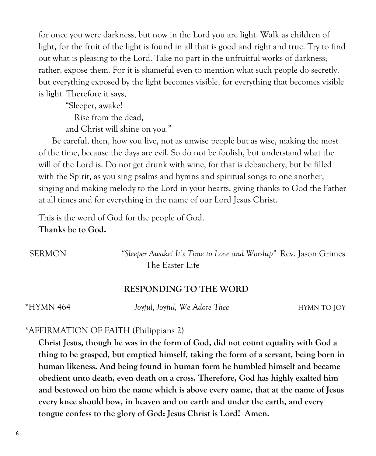for once you were darkness, but now in the Lord you are light. Walk as children of light, for the fruit of the light is found in all that is good and right and true. Try to find out what is pleasing to the Lord. Take no part in the unfruitful works of darkness; rather, expose them. For it is shameful even to mention what such people do secretly, but everything exposed by the light becomes visible, for everything that becomes visible is light. Therefore it says,

"Sleeper, awake!

Rise from the dead,

and Christ will shine on you."

Be careful, then, how you live, not as unwise people but as wise, making the most of the time, because the days are evil. So do not be foolish, but understand what the will of the Lord is. Do not get drunk with wine, for that is debauchery, but be filled with the Spirit, as you sing psalms and hymns and spiritual songs to one another, singing and making melody to the Lord in your hearts, giving thanks to God the Father at all times and for everything in the name of our Lord Jesus Christ.

This is the word of God for the people of God.

**Thanks be to God.**

 SERMON *"Sleeper Awake! It's Time to Love and Worship"* Rev. Jason Grimes The Easter Life

#### **RESPONDING TO THE WORD**

\*HYMN 464 *Joyful, Joyful, We Adore Thee* HYMN TO JOY

#### \*AFFIRMATION OF FAITH (Philippians 2)

**Christ Jesus, though he was in the form of God, did not count equality with God a thing to be grasped, but emptied himself, taking the form of a servant, being born in human likeness. And being found in human form he humbled himself and became obedient unto death, even death on a cross. Therefore, God has highly exalted him and bestowed on him the name which is above every name, that at the name of Jesus every knee should bow, in heaven and on earth and under the earth, and every tongue confess to the glory of God: Jesus Christ is Lord! Amen.**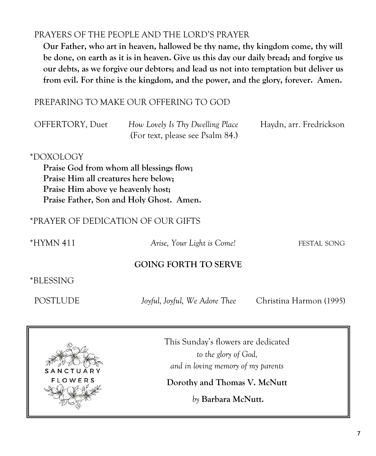#### PRAYERS OF THE PEOPLE AND THE LORD'S PRAYER

**Our Father, who art in heaven, hallowed be thy name, thy kingdom come, thy will be done, on earth as it is in heaven. Give us this day our daily bread; and forgive us our debts, as we forgive our debtors; and lead us not into temptation but deliver us from evil. For thine is the kingdom, and the power, and the glory, forever. Amen.**

#### PREPARING TO MAKE OUR OFFERING TO GOD

| OFFERTORY, Duet | How Lovely Is Thy Dwelling Place | Haydn, arr. Fredrickson |
|-----------------|----------------------------------|-------------------------|
|                 | (For text, please see Psalm 84.) |                         |

#### \*DOXOLOGY

**Praise God from whom all blessings flow; Praise Him all creatures here below; Praise Him above ye heavenly host; Praise Father, Son and Holy Ghost. Amen.**

#### \*PRAYER OF DEDICATION OF OUR GIFTS

\*HYMN 411 *Arise, Your Light is Come!* FESTAL SONG

#### **GOING FORTH TO SERVE**

\*BLESSING

POSTLUDE *Joyful, Joyful, We Adore Thee* Christina Harmon (1995)



This Sunday's flowers are dedicated *to the glory of God, and in loving memory of my parents* 

**Dorothy and Thomas V. McNutt**

*by* **Barbara McNutt.**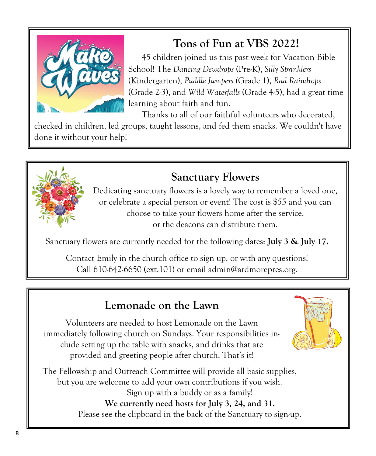

# **Tons of Fun at VBS 2022!**

45 children joined us this past week for Vacation Bible School! The *Dancing Dewdrops* (Pre-K), *Silly Sprinklers* (Kindergarten), *Puddle Jumpers (*Grade 1), *Rad Raindrops* (Grade 2-3), and *Wild Waterfalls* (Grade 4-5), had a great time learning about faith and fun.

Thanks to all of our faithful volunteers who decorated,

checked in children, led groups, taught lessons, and fed them snacks. We couldn't have done it without your help!



## **Sanctuary Flowers**

Dedicating sanctuary flowers is a lovely way to remember a loved one, or celebrate a special person or event! The cost is \$55 and you can choose to take your flowers home after the service, or the deacons can distribute them.

Sanctuary flowers are currently needed for the following dates: **July 3 & July 17.**

Contact Emily in the church office to sign up, or with any questions! Call 610-642-6650 (ext.101) or email admin@ardmorepres.org.

## **Lemonade on the Lawn**

Volunteers are needed to host Lemonade on the Lawn immediately following church on Sundays. Your responsibilities include setting up the table with snacks, and drinks that are provided and greeting people after church. That's it!

The Fellowship and Outreach Committee will provide all basic supplies, but you are welcome to add your own contributions if you wish. Sign up with a buddy or as a family! **We currently need hosts for July 3, 24, and 31.** Please see the clipboard in the back of the Sanctuary to sign-up.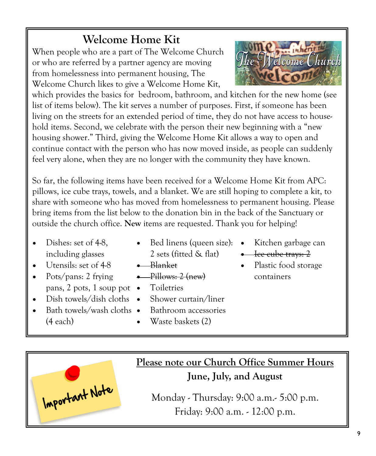# **Welcome Home Kit**

When people who are a part of The Welcome Church or who are referred by a partner agency are moving from homelessness into permanent housing, The Welcome Church likes to give a Welcome Home Kit,



which provides the basics for bedroom, bathroom, and kitchen for the new home (see list of items below). The kit serves a number of purposes. First, if someone has been living on the streets for an extended period of time, they do not have access to household items. Second, we celebrate with the person their new beginning with a "new housing shower." Third, giving the Welcome Home Kit allows a way to open and continue contact with the person who has now moved inside, as people can suddenly feel very alone, when they are no longer with the community they have known.

So far, the following items have been received for a Welcome Home Kit from APC: pillows, ice cube trays, towels, and a blanket. We are still hoping to complete a kit, to share with someone who has moved from homelessness to permanent housing. Please bring items from the list below to the donation bin in the back of the Sanctuary or outside the church office. **New** items are requested. Thank you for helping!

- Dishes: set of 4-8. including glasses
- Utensils: set of 4-8
- Pots/pans: 2 frying pans, 2 pots, 1 soup pot  $\bullet$
- Dish towels/dish cloths  $\bullet$
- Bed linens (queen size): Kitchen garbage can 2 sets (fitted & flat)
- Blanket
- $\leftarrow$  Pillows:  $2$  (new)
- **Toiletries**
- Shower curtain/liner
	- Bathroom accessories
	- Waste baskets (2)
- 
- Ice cube trays: 2
- Plastic food storage containers

Bath towels/wash cloths • (4 each)

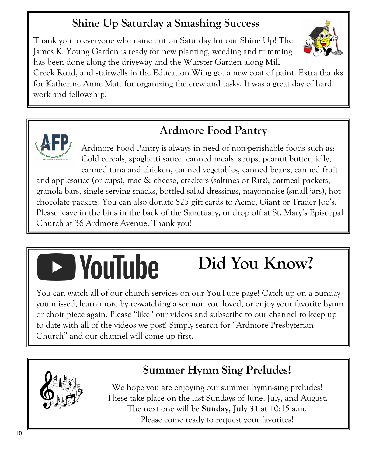# **Shine Up Saturday a Smashing Success**

Thank you to everyone who came out on Saturday for our Shine Up! The James K. Young Garden is ready for new planting, weeding and trimming has been done along the driveway and the Wurster Garden along Mill

Creek Road, and stairwells in the Education Wing got a new coat of paint. Extra thanks for Katherine Anne Matt for organizing the crew and tasks. It was a great day of hard work and fellowship!



# **Ardmore Food Pantry**

Ardmore Food Pantry is always in need of non-perishable foods such as: Cold cereals, spaghetti sauce, canned meals, soups, peanut butter, jelly, canned tuna and chicken, canned vegetables, canned beans, canned fruit

and applesauce (or cups), mac & cheese, crackers (saltines or Ritz), oatmeal packets, granola bars, single serving snacks, bottled salad dressings, mayonnaise (small jars), hot chocolate packets. You can also donate \$25 gift cards to Acme, Giant or Trader Joe's. Please leave in the bins in the back of the Sanctuary, or drop off at St. Mary's Episcopal Church at 36 Ardmore Avenue. Thank you!

# **D** YouTube

# **Did You Know?**

You can watch all of our church services on our YouTube page! Catch up on a Sunday you missed, learn more by re-watching a sermon you loved, or enjoy your favorite hymn or choir piece again. Please "like" our videos and subscribe to our channel to keep up to date with all of the videos we post! Simply search for "Ardmore Presbyterian Church" and our channel will come up first.



# **Summer Hymn Sing Preludes!**

We hope you are enjoying our summer hymn-sing preludes! These take place on the last Sundays of June, July, and August. The next one will be **Sunday, July 31** at 10:15 a.m. Please come ready to request your favorites!

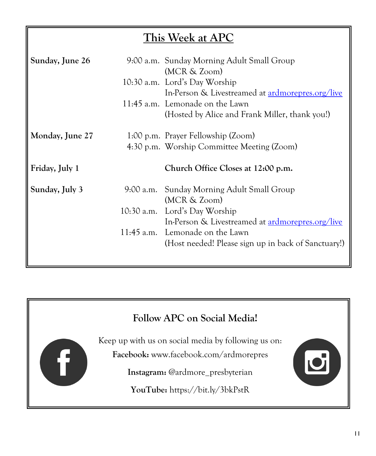# **This Week at APC**

| Sunday, June 26 | 9:00 a.m. Sunday Morning Adult Small Group<br>(MCR & Zoom)                                 |
|-----------------|--------------------------------------------------------------------------------------------|
|                 | 10:30 a.m. Lord's Day Worship                                                              |
|                 | In-Person & Livestreamed at <b>ardmorepres.org/live</b><br>11:45 a.m. Lemonade on the Lawn |
|                 | (Hosted by Alice and Frank Miller, thank you!)                                             |
| Monday, June 27 | 1:00 p.m. Prayer Fellowship (Zoom)                                                         |
|                 | 4:30 p.m. Worship Committee Meeting (Zoom)                                                 |
|                 |                                                                                            |
| Friday, July 1  | Church Office Closes at 12:00 p.m.                                                         |
| Sunday, July 3  | 9:00 a.m. Sunday Morning Adult Small Group                                                 |
|                 | (MCR & Zoom)                                                                               |
|                 | 10:30 a.m. Lord's Day Worship                                                              |
|                 | In-Person & Livestreamed at <b>ardmorepres.org/live</b>                                    |
|                 | 11:45 a.m. Lemonade on the Lawn                                                            |
|                 | (Host needed! Please sign up in back of Sanctuary!)                                        |